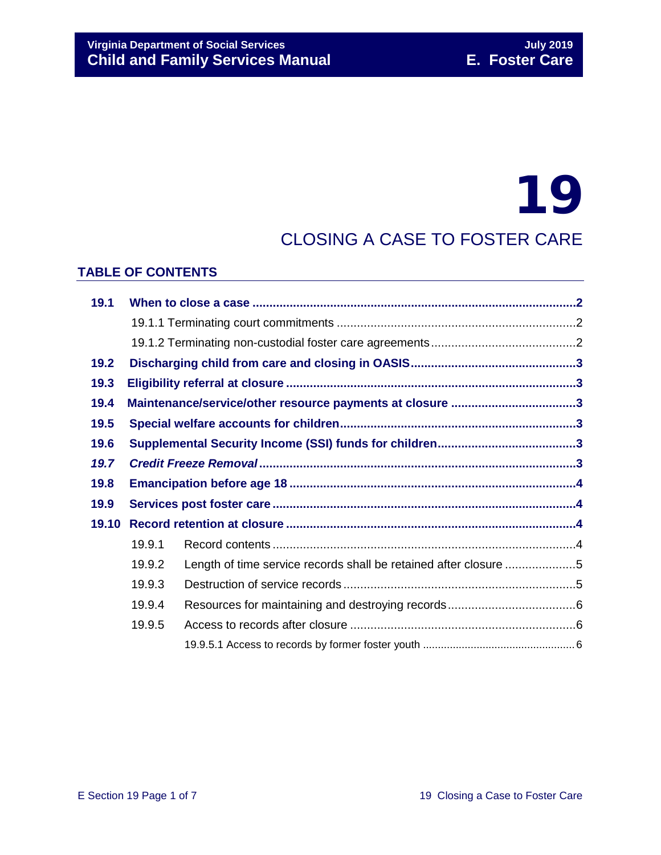# 19

# CLOSING A CASE TO FOSTER CARE

## **TABLE OF CONTENTS**

| 19.1  |                                                          |                                                                  |  |
|-------|----------------------------------------------------------|------------------------------------------------------------------|--|
|       |                                                          |                                                                  |  |
|       |                                                          |                                                                  |  |
| 19.2  |                                                          |                                                                  |  |
| 19.3  |                                                          |                                                                  |  |
| 19.4  | Maintenance/service/other resource payments at closure 3 |                                                                  |  |
| 19.5  |                                                          |                                                                  |  |
| 19.6  |                                                          |                                                                  |  |
| 19.7  |                                                          |                                                                  |  |
|       |                                                          |                                                                  |  |
| 19.8  |                                                          |                                                                  |  |
| 19.9  |                                                          |                                                                  |  |
| 19.10 |                                                          |                                                                  |  |
|       | 19.9.1                                                   |                                                                  |  |
|       | 19.9.2                                                   | Length of time service records shall be retained after closure 5 |  |
|       | 19.9.3                                                   |                                                                  |  |
|       | 19.9.4                                                   |                                                                  |  |
|       | 19.9.5                                                   |                                                                  |  |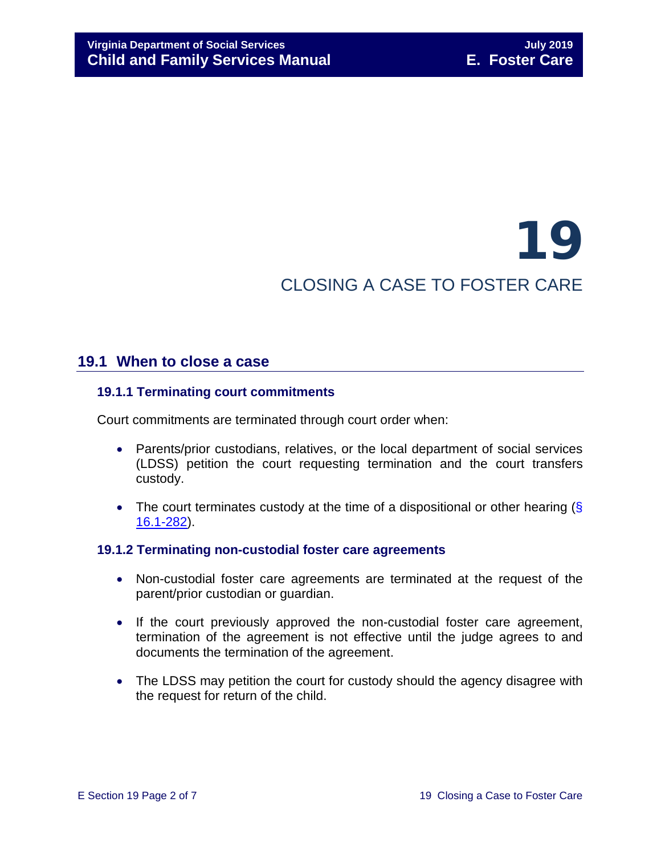# 19 CLOSING A CASE TO FOSTER CARE

# <span id="page-1-0"></span>**19.1 When to close a case**

#### <span id="page-1-1"></span>**19.1.1 Terminating court commitments**

Court commitments are terminated through court order when:

- Parents/prior custodians, relatives, or the local department of social services (LDSS) petition the court requesting termination and the court transfers custody.
- The court terminates custody at the time of a dispositional or other hearing  $(\S$ [16.1-282\)](http://law.lis.virginia.gov/vacode/16.1-282/).

#### <span id="page-1-2"></span>**19.1.2 Terminating non-custodial foster care agreements**

- Non-custodial foster care agreements are terminated at the request of the parent/prior custodian or guardian.
- If the court previously approved the non-custodial foster care agreement, termination of the agreement is not effective until the judge agrees to and documents the termination of the agreement.
- The LDSS may petition the court for custody should the agency disagree with the request for return of the child.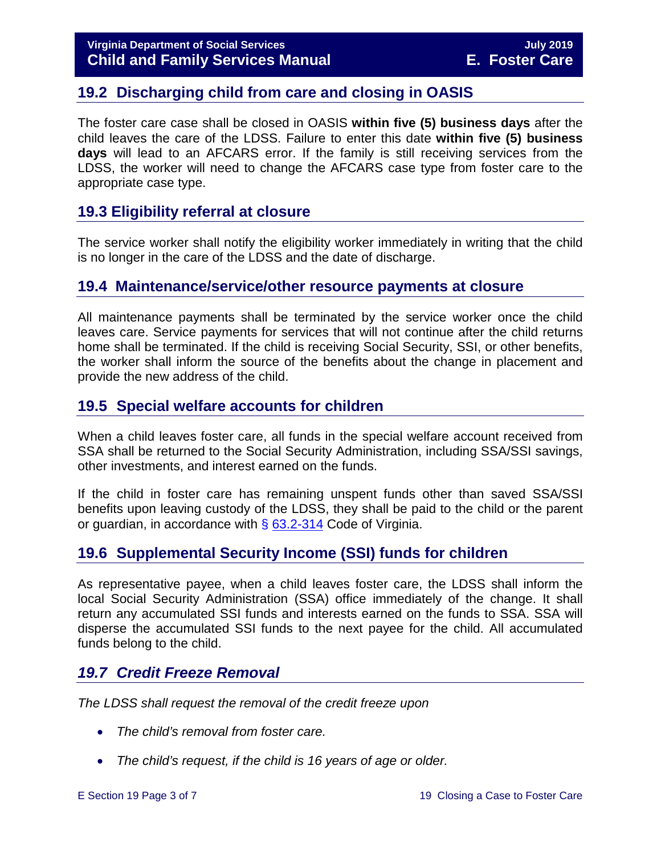# <span id="page-2-0"></span>**19.2 Discharging child from care and closing in OASIS**

The foster care case shall be closed in OASIS **within five (5) business days** after the child leaves the care of the LDSS. Failure to enter this date **within five (5) business days** will lead to an AFCARS error. If the family is still receiving services from the LDSS, the worker will need to change the AFCARS case type from foster care to the appropriate case type.

# <span id="page-2-1"></span>**19.3 Eligibility referral at closure**

The service worker shall notify the eligibility worker immediately in writing that the child is no longer in the care of the LDSS and the date of discharge.

# <span id="page-2-2"></span>**19.4 Maintenance/service/other resource payments at closure**

All maintenance payments shall be terminated by the service worker once the child leaves care. Service payments for services that will not continue after the child returns home shall be terminated. If the child is receiving Social Security, SSI, or other benefits, the worker shall inform the source of the benefits about the change in placement and provide the new address of the child.

# <span id="page-2-3"></span>**19.5 Special welfare accounts for children**

When a child leaves foster care, all funds in the special welfare account received from SSA shall be returned to the Social Security Administration, including SSA/SSI savings, other investments, and interest earned on the funds.

If the child in foster care has remaining unspent funds other than saved SSA/SSI benefits upon leaving custody of the LDSS, they shall be paid to the child or the parent or guardian, in accordance with  $\S$  [63.2-314](http://law.lis.virginia.gov/vacode/63.2-314/) Code of Virginia.

# <span id="page-2-4"></span>**19.6 Supplemental Security Income (SSI) funds for children**

As representative payee, when a child leaves foster care, the LDSS shall inform the local Social Security Administration (SSA) office immediately of the change. It shall return any accumulated SSI funds and interests earned on the funds to SSA. SSA will disperse the accumulated SSI funds to the next payee for the child. All accumulated funds belong to the child.

# <span id="page-2-5"></span>*19.7 Credit Freeze Removal*

*The LDSS shall request the removal of the credit freeze upon*

- *The child's removal from foster care.*
- *The child's request, if the child is 16 years of age or older.*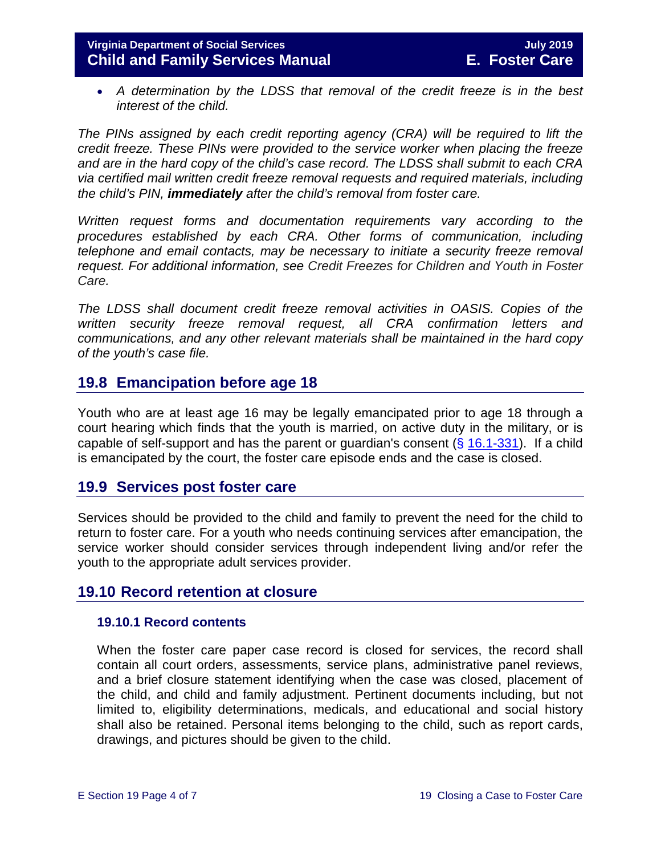• A determination by the LDSS that removal of the credit freeze is in the best *interest of the child.* 

*The PINs assigned by each credit reporting agency (CRA) will be required to lift the credit freeze. These PINs were provided to the service worker when placing the freeze and are in the hard copy of the child's case record. The LDSS shall submit to each CRA via certified mail written credit freeze removal requests and required materials, including the child's PIN, immediately after the child's removal from foster care.*

*Written request forms and documentation requirements vary according to the procedures established by each CRA. Other forms of communication, including telephone and email contacts, may be necessary to initiate a security freeze removal request. For additional information, see Credit Freezes for Children and Youth in Foster Care.* 

*The LDSS shall document credit freeze removal activities in OASIS. Copies of the written security freeze removal request, all CRA confirmation letters and communications, and any other relevant materials shall be maintained in the hard copy of the youth's case file.* 

# <span id="page-3-0"></span>**19.8 Emancipation before age 18**

Youth who are at least age 16 may be legally emancipated prior to age 18 through a court hearing which finds that the youth is married, on active duty in the military, or is capable of self-support and has the parent or guardian's consent  $(\S$  [16.1-331\)](http://law.lis.virginia.gov/vacode/16.1-331/). If a child is emancipated by the court, the foster care episode ends and the case is closed.

# <span id="page-3-1"></span>**19.9 Services post foster care**

Services should be provided to the child and family to prevent the need for the child to return to foster care. For a youth who needs continuing services after emancipation, the service worker should consider services through independent living and/or refer the youth to the appropriate adult services provider.

# <span id="page-3-2"></span>**19.10 Record retention at closure**

#### <span id="page-3-3"></span>**19.10.1 Record contents**

When the foster care paper case record is closed for services, the record shall contain all court orders, assessments, service plans, administrative panel reviews, and a brief closure statement identifying when the case was closed, placement of the child, and child and family adjustment. Pertinent documents including, but not limited to, eligibility determinations, medicals, and educational and social history shall also be retained. Personal items belonging to the child, such as report cards, drawings, and pictures should be given to the child.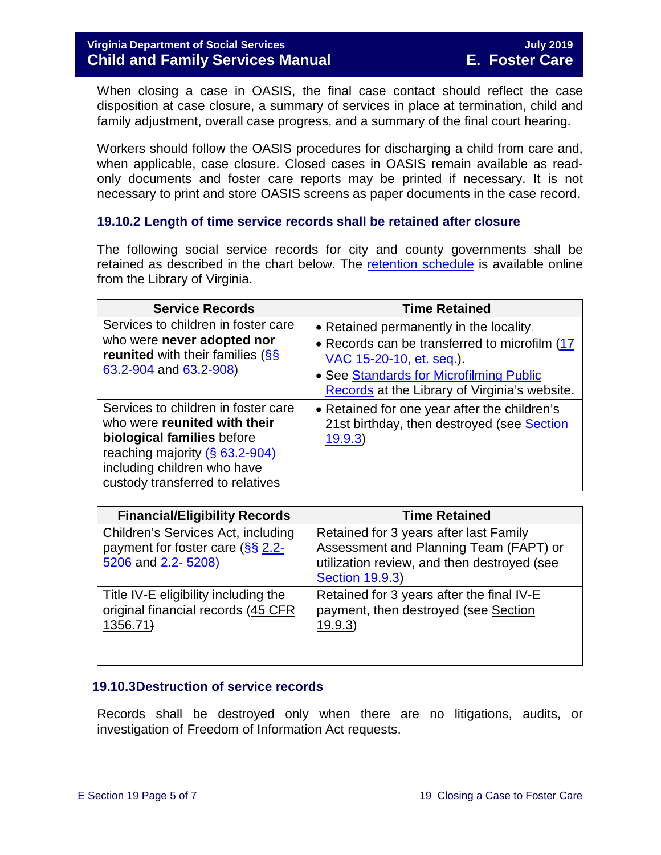When closing a case in OASIS, the final case contact should reflect the case disposition at case closure, a summary of services in place at termination, child and family adjustment, overall case progress, and a summary of the final court hearing.

Workers should follow the OASIS procedures for discharging a child from care and, when applicable, case closure. Closed cases in OASIS remain available as readonly documents and foster care reports may be printed if necessary. It is not necessary to print and store OASIS screens as paper documents in the case record.

## <span id="page-4-0"></span>**19.10.2 Length of time service records shall be retained after closure**

The following social service records for city and county governments shall be retained as described in the chart below. The [retention schedule](http://www.lva.virginia.gov/agencies/records/sched_local/GS-15.pdf) is available online from the Library of Virginia.

| <b>Service Records</b>                                                                                                                                                                                               | <b>Time Retained</b>                                                                                                                                                                                             |
|----------------------------------------------------------------------------------------------------------------------------------------------------------------------------------------------------------------------|------------------------------------------------------------------------------------------------------------------------------------------------------------------------------------------------------------------|
| Services to children in foster care<br>who were never adopted nor<br><b>reunited</b> with their families (SS<br>63.2-904 and 63.2-908)                                                                               | • Retained permanently in the locality.<br>• Records can be transferred to microfilm (17<br>VAC 15-20-10, et. seq.).<br>• See Standards for Microfilming Public<br>Records at the Library of Virginia's website. |
| Services to children in foster care<br>who were reunited with their<br>biological families before<br>reaching majority $(\frac{6}{5} 63.2 - 904)$<br>including children who have<br>custody transferred to relatives | • Retained for one year after the children's<br>21st birthday, then destroyed (see Section<br>19.9.3                                                                                                             |

| <b>Financial/Eligibility Records</b>                                                                    | <b>Time Retained</b>                                                                                                                                      |
|---------------------------------------------------------------------------------------------------------|-----------------------------------------------------------------------------------------------------------------------------------------------------------|
| Children's Services Act, including<br>payment for foster care $(\frac{55}{52}.2)$<br>5206 and 2.2-5208) | Retained for 3 years after last Family<br>Assessment and Planning Team (FAPT) or<br>utilization review, and then destroyed (see<br><b>Section 19.9.3)</b> |
| Title IV-E eligibility including the<br>original financial records (45 CFR<br>1356.71                   | Retained for 3 years after the final IV-E<br>payment, then destroyed (see Section<br>19.9.3)                                                              |

## <span id="page-4-1"></span>**19.10.3Destruction of service records**

Records shall be destroyed only when there are no litigations, audits, or investigation of Freedom of Information Act requests.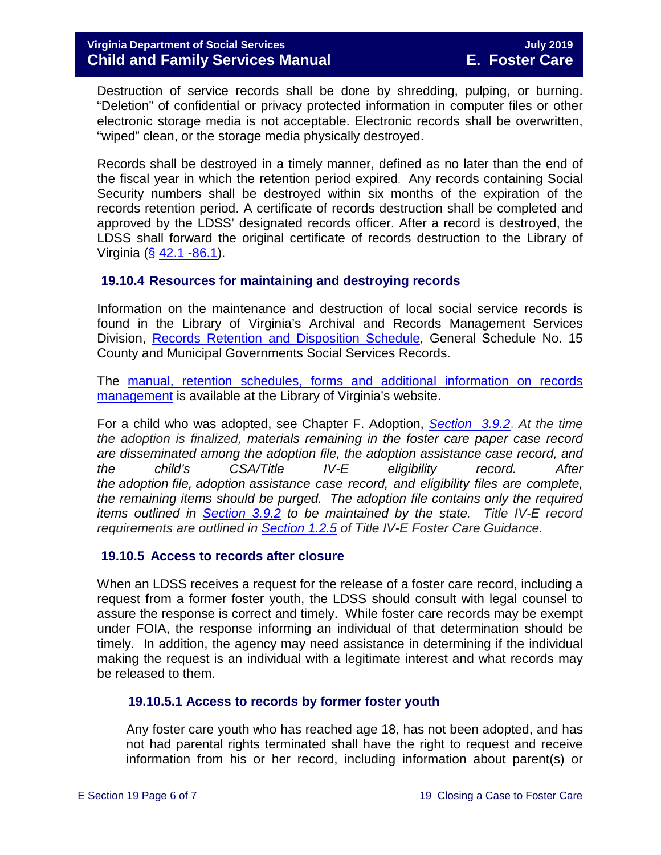Destruction of service records shall be done by shredding, pulping, or burning. "Deletion" of confidential or privacy protected information in computer files or other electronic storage media is not acceptable. Electronic records shall be overwritten, "wiped" clean, or the storage media physically destroyed.

Records shall be destroyed in a timely manner, defined as no later than the end of the fiscal year in which the retention period expired. Any records containing Social Security numbers shall be destroyed within six months of the expiration of the records retention period. A certificate of records destruction shall be completed and approved by the LDSS' designated records officer. After a record is destroyed, the LDSS shall forward the original certificate of records destruction to the Library of Virginia (§ [42.1 -86.1\)](http://law.lis.virginia.gov/vacode/42.1-86.1/).

#### <span id="page-5-0"></span>**19.10.4 Resources for maintaining and destroying records**

Information on the maintenance and destruction of local social service records is found in the Library of Virginia's Archival and Records Management Services Division, [Records Retention and Disposition Schedule,](http://www.lva.virginia.gov/agencies/records/sched_local/GS-15.pdf) General Schedule No. 15 County and Municipal Governments Social Services Records.

The [manual, retention schedules, forms and additional information on records](http://www.lva.virginia.gov/agencies/records/)  [management](http://www.lva.virginia.gov/agencies/records/) is available at the Library of Virginia's website.

For a child who was adopted, see Chapter F. Adoption, *[Section 3.9.2](https://fusion.dss.virginia.gov/Portals/%5Bdfs%5D/Files/Adoption/Guidance/2019/July/section_3_finalizing%20the%20adoption-July%202019.pdf#page=29)*. *At the time the adoption is finalized, materials remaining in the foster care paper case record are disseminated among the adoption file, the adoption assistance case record, and the child's CSA/Title IV-E eligibility record. After the adoption file, adoption assistance case record, and eligibility files are complete, the remaining items should be purged. The adoption file contains only the required items outlined in [Section 3.9.2](https://fusion.dss.virginia.gov/Portals/%5Bdfs%5D/Files/Adoption/Guidance/2019/July/section_3_finalizing%20the%20adoption-July%202019.pdf#page=29) to be maintained by the state. Title IV-E record requirements are outlined in [Section 1.2.5](https://fusion.dss.virginia.gov/Portals/%5Bdfs%5D/Files/Title%20IV-E/Title_IV-E_Foster_Care_Manual_July_2018.pdf#page=14) of Title IV-E Foster Care Guidance.* 

#### <span id="page-5-1"></span>**19.10.5 Access to records after closure**

When an LDSS receives a request for the release of a foster care record, including a request from a former foster youth, the LDSS should consult with legal counsel to assure the response is correct and timely. While foster care records may be exempt under FOIA, the response informing an individual of that determination should be timely. In addition, the agency may need assistance in determining if the individual making the request is an individual with a legitimate interest and what records may be released to them.

## <span id="page-5-2"></span>**19.10.5.1 Access to records by former foster youth**

Any foster care youth who has reached age 18, has not been adopted, and has not had parental rights terminated shall have the right to request and receive information from his or her record, including information about parent(s) or